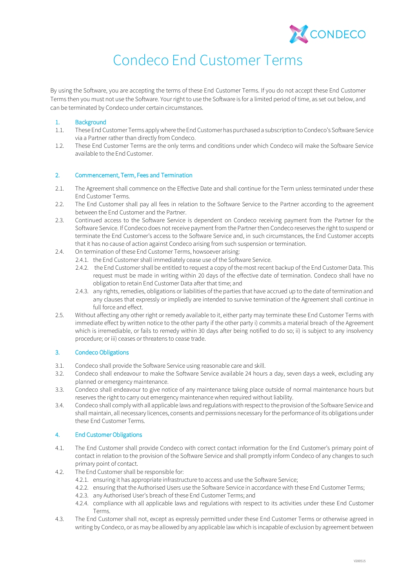

# Condeco End Customer Terms

By using the Software, you are accepting the terms of these End Customer Terms. If you do not accept these End Customer Terms then you must not use the Software. Your right to use the Software is for a limited period of time, as set out below, and can be terminated by Condeco under certain circumstances.

# 1. Background

- 1.1. These End Customer Terms applywhere the End Customerhas purchased a subscription to Condeco's Software Service via a Partner rather than directly from Condeco.
- 1.2. These End Customer Terms are the only terms and conditions under which Condeco will make the Software Service available to the End Customer.

# 2. Commencement, Term, Fees and Termination

- 2.1. The Agreement shall commence on the Effective Date and shall continue for the Term unless terminated under these End Customer Terms.
- 2.2. The End Customer shall pay all fees in relation to the Software Service to the Partner according to the agreement between the End Customer and the Partner.
- 2.3. Continued access to the Software Service is dependent on Condeco receiving payment from the Partner for the Software Service. If Condeco does not receive payment from the Partner then Condeco reserves the right to suspend or terminate the End Customer's access to the Software Service and, in such circumstances, the End Customer accepts that it has no cause of action against Condeco arising from such suspension or termination.
- 2.4. On termination of these End Customer Terms, howsoever arising:
	- 2.4.1. the End Customer shall immediately cease use of the Software Service.
	- 2.4.2. the End Customer shall be entitled to request a copy of the most recent backup of the End Customer Data. This request must be made in writing within 20 days of the effective date of termination. Condeco shall have no obligation to retain End Customer Data after that time; and
	- 2.4.3. any rights, remedies, obligations or liabilities of the parties that have accrued up to the date of termination and any clauses that expressly or impliedly are intended to survive termination of the Agreement shall continue in full force and effect.
- 2.5. Without affecting any other right or remedy available to it, either party may terminate these End Customer Terms with immediate effect by written notice to the other party if the other party i) commits a material breach of the Agreement which is irremediable, or fails to remedy within 30 days after being notified to do so; ii) is subject to any insolvency procedure; or iii) ceases or threatens to cease trade.

# 3. Condeco Obligations

- 3.1. Condeco shall provide the Software Service using reasonable care and skill.
- 3.2. Condeco shall endeavour to make the Software Service available 24 hours a day, seven days a week, excluding any planned or emergency maintenance.
- 3.3. Condeco shall endeavour to give notice of any maintenance taking place outside of normal maintenance hours but reserves the right to carry out emergency maintenance when required without liability.
- 3.4. Condeco shall comply with all applicable laws and regulations with respect to the provision of the Software Service and shall maintain, all necessary licences, consents and permissions necessary for the performance of its obligations under these End Customer Terms.

# 4. End Customer Obligations

- 4.1. The End Customer shall provide Condeco with correct contact information for the End Customer's primary point of contact in relation to the provision of the Software Service and shall promptly inform Condeco of any changes to such primary point of contact.
- 4.2. The End Customer shall be responsible for:
	- 4.2.1. ensuring it has appropriate infrastructure to access and use the Software Service;
	- 4.2.2. ensuring that the Authorised Users use the Software Service in accordance with these End Customer Terms;
	- 4.2.3. any Authorised User's breach of these End Customer Terms; and
	- 4.2.4. compliance with all applicable laws and regulations with respect to its activities under these End Customer Terms.
- 4.3. The End Customer shall not, except as expressly permitted under these End Customer Terms or otherwise agreed in writing by Condeco, or as may be allowed by any applicable law which is incapable of exclusion by agreement between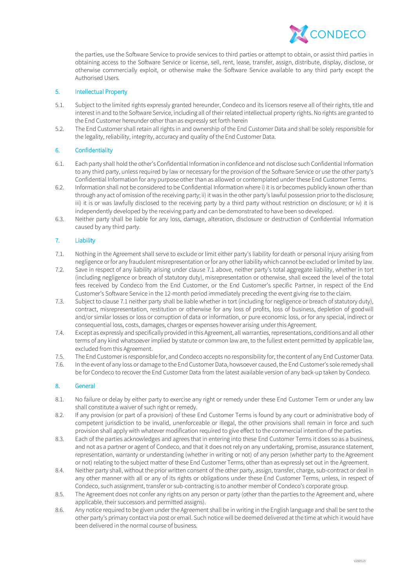

the parties, use the Software Service to provide services to third parties or attempt to obtain, or assist third parties in obtaining access to the Software Service or license, sell, rent, lease, transfer, assign, distribute, display, disclose, or otherwise commercially exploit, or otherwise make the Software Service available to any third party except the Authorised Users.

# 5. Intellectual Property

- 5.1. Subject to the limited rights expressly granted hereunder, Condeco and its licensors reserve all of their rights, title and interest in and to the Software Service, including all of their related intellectual property rights. No rights are granted to the End Customer hereunder other than as expressly set forth herein
- 5.2. The End Customer shall retain all rights in and ownership of the End Customer Data and shall be solely responsible for the legality, reliability, integrity, accuracy and quality of the End Customer Data.

#### 6. Confidentiality

- 6.1. Each party shall hold the other's Confidential Information in confidence and not disclose such Confidential Information to any third party, unless required by law or necessary for the provision of the Software Service or use the other party's Confidential Information for any purpose other than as allowed or contemplated under these End Customer Terms.
- 6.2. Information shall not be considered to be Confidential Information where i) it is or becomes publicly known other than through any act of omission of the receiving party; ii) it was in the other party's lawful possession prior to the disclosure; iii) it is or was lawfully disclosed to the receiving party by a third party without restriction on disclosure; or iv) it is independently developed by the receiving party and can be demonstrated to have been so developed.
- 6.3. Neither party shall be liable for any loss, damage, alteration, disclosure or destruction of Confidential Information caused by any third party.

### 7. Liability

- 7.1. Nothing in the Agreement shall serve to exclude or limit either party's liability for death or personal injury arising from negligence or for any fraudulent misrepresentation or for any other liability which cannot be excluded or limited by law.
- 7.2. Save in respect of any liability arising under clause 7.1 above, neither party's total aggregate liability, whether in tort (including negligence or breach of statutory duty), misrepresentation or otherwise, shall exceed the level of the total fees received by Condeco from the End Customer, or the End Customer's specific Partner, in respect of the End Customer's Software Service in the 12-month period immediately preceding the event giving rise to the claim.
- 7.3. Subject to clause 7.1 neither party shall be liable whether in tort (including for negligence or breach of statutory duty), contract, misrepresentation, restitution or otherwise for any loss of profits, loss of business, depletion of goodwill and/or similar losses or loss or corruption of data or information, or pure economic loss, or for any special, indirect or consequential loss, costs, damages, charges or expenses however arising under this Agreement.
- 7.4. Except as expressly and specifically provided in this Agreement, all warranties, representations, conditions and all other terms of any kind whatsoever implied by statute or common law are, to the fullest extent permitted by applicable law, excluded from this Agreement.
- 7.5. The End Customer is responsible for, and Condeco accepts no responsibility for, the content of any End Customer Data.
- 7.6. In the event of any loss or damage to the End Customer Data, howsoever caused, the End Customer's sole remedy shall be for Condeco to recover the End Customer Data from the latest available version of any back-up taken by Condeco.

# 8. General

- 8.1. No failure or delay by either party to exercise any right or remedy under these End Customer Term or under any law shall constitute a waiver of such right or remedy.
- 8.2. If any provision (or part of a provision) of these End Customer Terms is found by any court or administrative body of competent jurisdiction to be invalid, unenforceable or illegal, the other provisions shall remain in force and such provision shall apply with whatever modification required to give effect to the commercial intention of the parties.
- 8.3. Each of the parties acknowledges and agrees that in entering into these End Customer Terms it does so as a business, and not as a partner or agent of Condeco, and that it does not rely on any undertaking, promise, assurance statement, representation, warranty or understanding (whether in writing or not) of any person (whether party to the Agreement or not) relating to the subject matter of these End Customer Terms, other than as expressly set out in the Agreement.
- 8.4. Neither party shall, without the prior written consent of the other party, assign, transfer, charge, sub-contract or deal in any other manner with all or any of its rights or obligations under these End Customer Terms, unless, in respect of Condeco, such assignment, transfer or sub-contracting is to another member of Condeco's corporate group.
- 8.5. The Agreement does not confer any rights on any person or party (other than the parties to the Agreement and, where applicable, their successors and permitted assigns).
- 8.6. Any notice required to be given under the Agreement shall be in writing in the English language and shall be sent to the other party's primary contact via post or email. Such notice will be deemed delivered at the time at which it would have been delivered in the normal course of business.